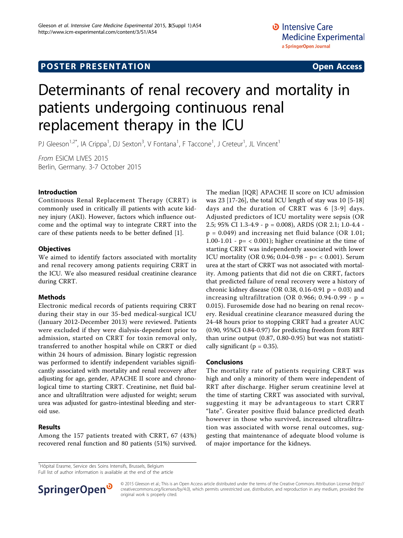# **POSTER PRESENTATION CONSUMING ACCESS**

# Determinants of renal recovery and mortality in patients undergoing continuous renal replacement therapy in the ICU

PJ Gleeson<sup>1,2\*</sup>, IA Crippa<sup>1</sup>, DJ Sexton<sup>3</sup>, V Fontana<sup>1</sup>, F Taccone<sup>1</sup>, J Creteur<sup>1</sup>, JL Vincent<sup>1</sup>

From ESICM LIVES 2015 Berlin, Germany. 3-7 October 2015

#### Introduction

Continuous Renal Replacement Therapy (CRRT) is commonly used in critically ill patients with acute kidney injury (AKI). However, factors which influence outcome and the optimal way to integrate CRRT into the care of these patients needs to be better defined [\[1](#page-1-0)].

#### **Objectives**

We aimed to identify factors associated with mortality and renal recovery among patients requiring CRRT in the ICU. We also measured residual creatinine clearance during CRRT.

## Methods

Electronic medical records of patients requiring CRRT during their stay in our 35-bed medical-surgical ICU (January 2012-December 2013) were reviewed. Patients were excluded if they were dialysis-dependent prior to admission, started on CRRT for toxin removal only, transferred to another hospital while on CRRT or died within 24 hours of admission. Binary logistic regression was performed to identify independent variables significantly associated with mortality and renal recovery after adjusting for age, gender, APACHE II score and chronological time to starting CRRT. Creatinine, net fluid balance and ultrafiltration were adjusted for weight; serum urea was adjusted for gastro-intestinal bleeding and steroid use.

## Results

Among the 157 patients treated with CRRT, 67 (43%) recovered renal function and 80 patients (51%) survived. The median [IQR] APACHE II score on ICU admission was 23 [17-26], the total ICU length of stay was 10 [5-18] days and the duration of CRRT was 6 [3-9] days. Adjusted predictors of ICU mortality were sepsis (OR 2.5; 95% CI 1.3-4.9 - p = 0.008), ARDS (OR 2.1; 1.0-4.4 p = 0.049) and increasing net fluid balance (OR 1.01; 1.00-1.01 -  $p = < 0.001$ ; higher creatinine at the time of starting CRRT was independently associated with lower ICU mortality (OR 0.96; 0.04-0.98 - p= < 0.001). Serum urea at the start of CRRT was not associated with mortality. Among patients that did not die on CRRT, factors that predicted failure of renal recovery were a history of chronic kidney disease (OR 0.38, 0.16-0.91  $p = 0.03$ ) and increasing ultrafiltration (OR 0.966; 0.94-0.99 -  $p =$ 0.015). Furosemide dose had no bearing on renal recovery. Residual creatinine clearance measured during the 24-48 hours prior to stopping CRRT had a greater AUC (0.90, 95%CI 0.84-0.97) for predicting freedom from RRT than urine output (0.87, 0.80-0.95) but was not statistically significant ( $p = 0.35$ ).

#### Conclusions

The mortality rate of patients requiring CRRT was high and only a minority of them were independent of RRT after discharge. Higher serum creatinine level at the time of starting CRRT was associated with survival, suggesting it may be advantageous to start CRRT "late". Greater positive fluid balance predicted death however in those who survived, increased ultrafiltration was associated with worse renal outcomes, suggesting that maintenance of adequate blood volume is of major importance for the kidneys.

<sup>1</sup>Hôpital Erasme, Service des Soins Intensifs, Brussels, Belgium

Full list of author information is available at the end of the article



© 2015 Gleeson et al.; This is an Open Access article distributed under the terms of the Creative Commons Attribution License [\(http://](http://creativecommons.org/licenses/by/4.0) [creativecommons.org/licenses/by/4.0](http://creativecommons.org/licenses/by/4.0)), which permits unrestricted use, distribution, and reproduction in any medium, provided the original work is properly cited.